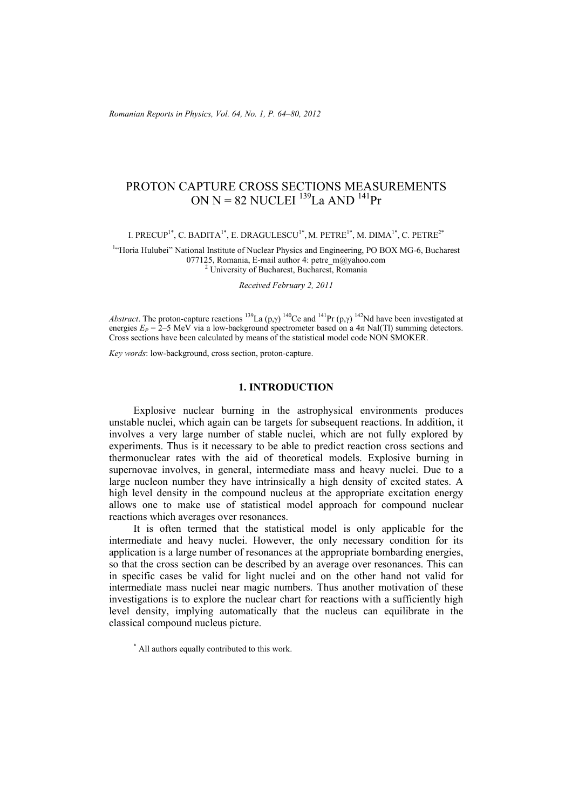# PROTON CAPTURE CROSS SECTIONS MEASUREMENTS ON  $N = 82$  NUCLEI<sup>139</sup>La AND<sup>141</sup>Pr

I. PRECUP<sup>1\*</sup>, C. BADITA<sup>1\*</sup>, E. DRAGULESCU<sup>1\*</sup>, M. PETRE<sup>1\*</sup>, M. DIMA<sup>1\*</sup>, C. PETRE<sup>2\*</sup>

<sup>1</sup>"Horia Hulubei" National Institute of Nuclear Physics and Engineering, PO BOX MG-6, Bucharest 077125, Romania, E-mail author 4: petre\_m@yahoo.com <sup>2</sup> University of Bucharest, Bucharest, Romania

*Received February 2, 2011* 

*Abstract*. The proton-capture reactions <sup>139</sup>La (p,γ) <sup>140</sup>Ce and <sup>141</sup>Pr (p,γ) <sup>142</sup>Nd have been investigated at energies  $E_P = 2-5$  MeV via a low-background spectrometer based on a  $4\pi$  NaI(TI) summing detectors. Cross sections have been calculated by means of the statistical model code NON SMOKER.

*Key words*: low-background, cross section, proton-capture.

# **1. INTRODUCTION**

Explosive nuclear burning in the astrophysical environments produces unstable nuclei, which again can be targets for subsequent reactions. In addition, it involves a very large number of stable nuclei, which are not fully explored by experiments. Thus is it necessary to be able to predict reaction cross sections and thermonuclear rates with the aid of theoretical models. Explosive burning in supernovae involves, in general, intermediate mass and heavy nuclei. Due to a large nucleon number they have intrinsically a high density of excited states. A high level density in the compound nucleus at the appropriate excitation energy allows one to make use of statistical model approach for compound nuclear reactions which averages over resonances.

It is often termed that the statistical model is only applicable for the intermediate and heavy nuclei. However, the only necessary condition for its application is a large number of resonances at the appropriate bombarding energies, so that the cross section can be described by an average over resonances. This can in specific cases be valid for light nuclei and on the other hand not valid for intermediate mass nuclei near magic numbers. Thus another motivation of these investigations is to explore the nuclear chart for reactions with a sufficiently high level density, implying automatically that the nucleus can equilibrate in the classical compound nucleus picture.

<sup>\*</sup> All authors equally contributed to this work.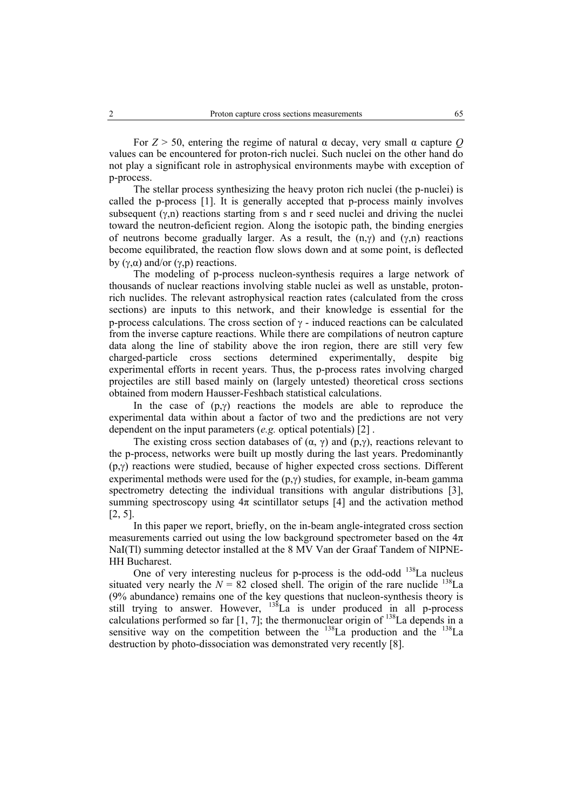For  $Z > 50$ , entering the regime of natural  $\alpha$  decay, very small  $\alpha$  capture Q values can be encountered for proton-rich nuclei. Such nuclei on the other hand do not play a significant role in astrophysical environments maybe with exception of p-process.

The stellar process synthesizing the heavy proton rich nuclei (the p-nuclei) is called the p-process [1]. It is generally accepted that p-process mainly involves subsequent  $(\gamma, n)$  reactions starting from s and r seed nuclei and driving the nuclei toward the neutron-deficient region. Along the isotopic path, the binding energies of neutrons become gradually larger. As a result, the  $(n, \gamma)$  and  $(\gamma, n)$  reactions become equilibrated, the reaction flow slows down and at some point, is deflected by (γ,α) and/or (γ,p) reactions.

The modeling of p-process nucleon-synthesis requires a large network of thousands of nuclear reactions involving stable nuclei as well as unstable, protonrich nuclides. The relevant astrophysical reaction rates (calculated from the cross sections) are inputs to this network, and their knowledge is essential for the p-process calculations. The cross section of  $\gamma$  - induced reactions can be calculated from the inverse capture reactions. While there are compilations of neutron capture data along the line of stability above the iron region, there are still very few charged-particle cross sections determined experimentally, despite big experimental efforts in recent years. Thus, the p-process rates involving charged projectiles are still based mainly on (largely untested) theoretical cross sections obtained from modern Hausser-Feshbach statistical calculations.

In the case of  $(p, \gamma)$  reactions the models are able to reproduce the experimental data within about a factor of two and the predictions are not very dependent on the input parameters (*e.g.* optical potentials) [2] .

The existing cross section databases of  $(\alpha, \gamma)$  and  $(p, \gamma)$ , reactions relevant to the p-process, networks were built up mostly during the last years. Predominantly (p,γ) reactions were studied, because of higher expected cross sections. Different experimental methods were used for the  $(p, \gamma)$  studies, for example, in-beam gamma spectrometry detecting the individual transitions with angular distributions [3], summing spectroscopy using  $4\pi$  scintillator setups [4] and the activation method [2, 5].

In this paper we report, briefly, on the in-beam angle-integrated cross section measurements carried out using the low background spectrometer based on the  $4\pi$ NaI(Tl) summing detector installed at the 8 MV Van der Graaf Tandem of NIPNE-HH Bucharest.

One of very interesting nucleus for p-process is the odd-odd  $^{138}$ La nucleus situated very nearly the  $N = 82$  closed shell. The origin of the rare nuclide <sup>138</sup>La (9% abundance) remains one of the key questions that nucleon-synthesis theory is still trying to answer. However,  $^{138}$ La is under produced in all p-process calculations performed so far  $[1, 7]$ ; the thermonuclear origin of  $^{138}$ La depends in a sensitive way on the competition between the  $^{138}$ La production and the  $^{138}$ La destruction by photo-dissociation was demonstrated very recently [8].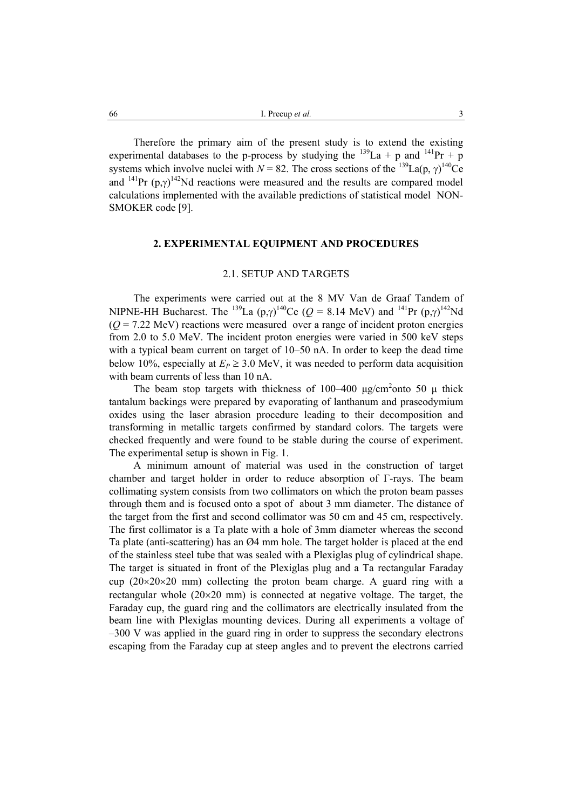Therefore the primary aim of the present study is to extend the existing experimental databases to the p-process by studying the  $^{139}$ La + p and  $^{141}$ Pr + p systems which involve nuclei with  $N = 82$ . The cross sections of the <sup>139</sup>La(p,  $\gamma$ )<sup>140</sup>Ce and <sup>141</sup>Pr  $(p, \gamma)$ <sup>142</sup>Nd reactions were measured and the results are compared model calculations implemented with the available predictions of statistical model NON-SMOKER code [9].

# **2. EXPERIMENTAL EQUIPMENT AND PROCEDURES**

# 2.1. SETUP AND TARGETS

The experiments were carried out at the 8 MV Van de Graaf Tandem of NIPNE-HH Bucharest. The <sup>139</sup>La  $(p,\gamma)^{140}$ Ce ( $Q = 8.14$  MeV) and <sup>141</sup>Pr  $(p,\gamma)^{142}$ Nd  $(Q = 7.22 \text{ MeV})$  reactions were measured over a range of incident proton energies from 2.0 to 5.0 MeV. The incident proton energies were varied in 500 keV steps with a typical beam current on target of 10–50 nA. In order to keep the dead time below 10%, especially at  $E_P \geq 3.0$  MeV, it was needed to perform data acquisition with beam currents of less than 10 nA.

The beam stop targets with thickness of 100–400  $\mu$ g/cm<sup>2</sup>onto 50  $\mu$  thick tantalum backings were prepared by evaporating of lanthanum and praseodymium oxides using the laser abrasion procedure leading to their decomposition and transforming in metallic targets confirmed by standard colors. The targets were checked frequently and were found to be stable during the course of experiment. The experimental setup is shown in Fig. 1.

A minimum amount of material was used in the construction of target chamber and target holder in order to reduce absorption of Γ-rays. The beam collimating system consists from two collimators on which the proton beam passes through them and is focused onto a spot of about 3 mm diameter. The distance of the target from the first and second collimator was 50 cm and 45 cm, respectively. The first collimator is a Ta plate with a hole of 3mm diameter whereas the second Ta plate (anti-scattering) has an Ø4 mm hole. The target holder is placed at the end of the stainless steel tube that was sealed with a Plexiglas plug of cylindrical shape. The target is situated in front of the Plexiglas plug and a Ta rectangular Faraday cup  $(20\times20\times20$  mm) collecting the proton beam charge. A guard ring with a rectangular whole (20×20 mm) is connected at negative voltage. The target, the Faraday cup, the guard ring and the collimators are electrically insulated from the beam line with Plexiglas mounting devices. During all experiments a voltage of –300 V was applied in the guard ring in order to suppress the secondary electrons escaping from the Faraday cup at steep angles and to prevent the electrons carried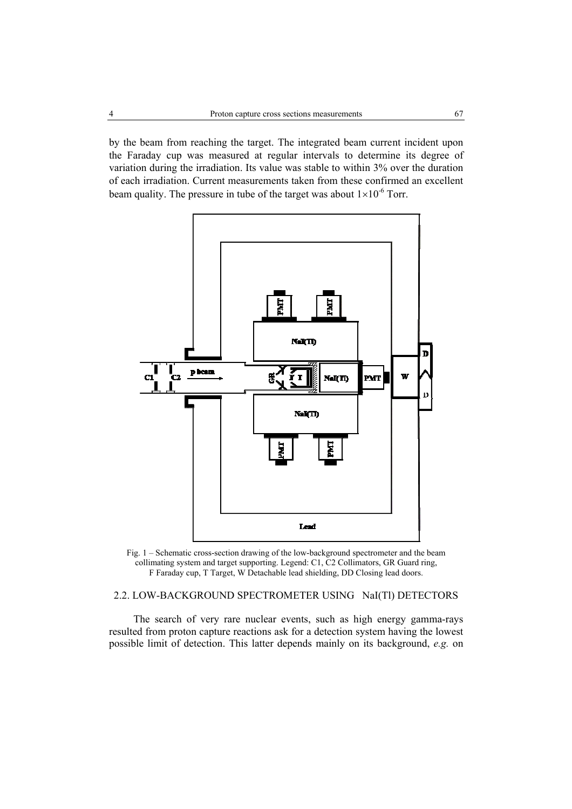by the beam from reaching the target. The integrated beam current incident upon the Faraday cup was measured at regular intervals to determine its degree of variation during the irradiation. Its value was stable to within 3% over the duration of each irradiation. Current measurements taken from these confirmed an excellent beam quality. The pressure in tube of the target was about  $1\times10^{-6}$  Torr.





# 2.2. LOW-BACKGROUND SPECTROMETER USING NaI(TI) DETECTORS

The search of very rare nuclear events, such as high energy gamma-rays resulted from proton capture reactions ask for a detection system having the lowest possible limit of detection. This latter depends mainly on its background, *e.g.* on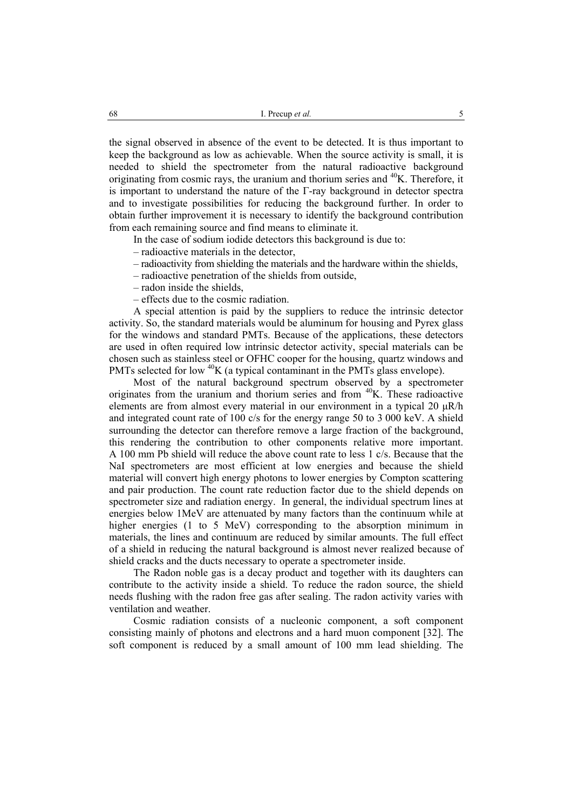the signal observed in absence of the event to be detected. It is thus important to keep the background as low as achievable. When the source activity is small, it is needed to shield the spectrometer from the natural radioactive background originating from cosmic rays, the uranium and thorium series and  $40K$ . Therefore, it is important to understand the nature of the  $\Gamma$ -ray background in detector spectra and to investigate possibilities for reducing the background further. In order to obtain further improvement it is necessary to identify the background contribution from each remaining source and find means to eliminate it.

In the case of sodium iodide detectors this background is due to:

– radioactive materials in the detector,

– radioactivity from shielding the materials and the hardware within the shields,

– radioactive penetration of the shields from outside,

– radon inside the shields,

– effects due to the cosmic radiation.

A special attention is paid by the suppliers to reduce the intrinsic detector activity. So, the standard materials would be aluminum for housing and Pyrex glass for the windows and standard PMTs. Because of the applications, these detectors are used in often required low intrinsic detector activity, special materials can be chosen such as stainless steel or OFHC cooper for the housing, quartz windows and PMTs selected for low <sup>40</sup>K (a typical contaminant in the PMTs glass envelope).

Most of the natural background spectrum observed by a spectrometer originates from the uranium and thorium series and from  $40K$ . These radioactive elements are from almost every material in our environment in a typical 20  $\mu$ R/h and integrated count rate of 100 c/s for the energy range 50 to 3 000 keV. A shield surrounding the detector can therefore remove a large fraction of the background, this rendering the contribution to other components relative more important. A 100 mm Pb shield will reduce the above count rate to less 1 c/s. Because that the NaI spectrometers are most efficient at low energies and because the shield material will convert high energy photons to lower energies by Compton scattering and pair production. The count rate reduction factor due to the shield depends on spectrometer size and radiation energy. In general, the individual spectrum lines at energies below 1MeV are attenuated by many factors than the continuum while at higher energies (1 to 5 MeV) corresponding to the absorption minimum in materials, the lines and continuum are reduced by similar amounts. The full effect of a shield in reducing the natural background is almost never realized because of shield cracks and the ducts necessary to operate a spectrometer inside.

The Radon noble gas is a decay product and together with its daughters can contribute to the activity inside a shield. To reduce the radon source, the shield needs flushing with the radon free gas after sealing. The radon activity varies with ventilation and weather.

Cosmic radiation consists of a nucleonic component, a soft component consisting mainly of photons and electrons and a hard muon component [32]. The soft component is reduced by a small amount of 100 mm lead shielding. The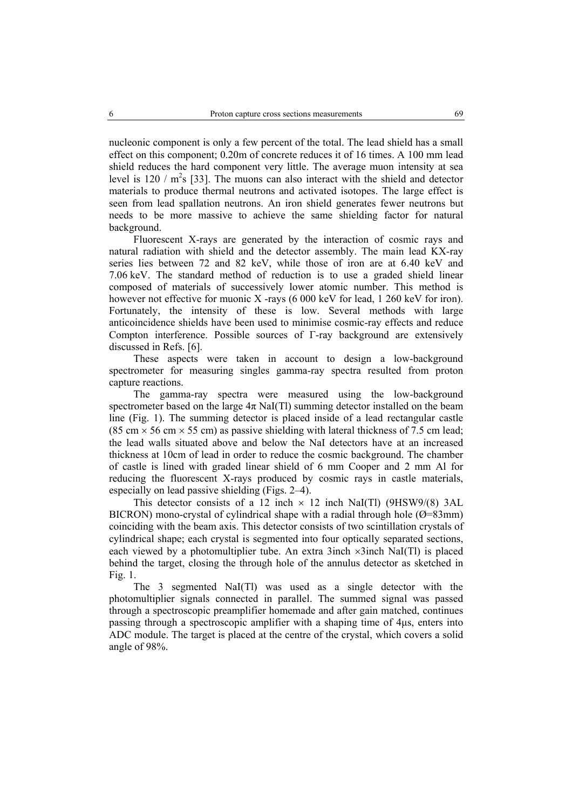nucleonic component is only a few percent of the total. The lead shield has a small effect on this component; 0.20m of concrete reduces it of 16 times. A 100 mm lead shield reduces the hard component very little. The average muon intensity at sea level is  $120 / m^2$ s [33]. The muons can also interact with the shield and detector materials to produce thermal neutrons and activated isotopes. The large effect is seen from lead spallation neutrons. An iron shield generates fewer neutrons but needs to be more massive to achieve the same shielding factor for natural background.

Fluorescent X-rays are generated by the interaction of cosmic rays and natural radiation with shield and the detector assembly. The main lead KX-ray series lies between 72 and 82 keV, while those of iron are at 6.40 keV and 7.06 keV. The standard method of reduction is to use a graded shield linear composed of materials of successively lower atomic number. This method is however not effective for muonic X -rays (6 000 keV for lead, 1 260 keV for iron). Fortunately, the intensity of these is low. Several methods with large anticoincidence shields have been used to minimise cosmic-ray effects and reduce Compton interference. Possible sources of Γ-ray background are extensively discussed in Refs. [6].

These aspects were taken in account to design a low-background spectrometer for measuring singles gamma-ray spectra resulted from proton capture reactions.

The gamma-ray spectra were measured using the low-background spectrometer based on the large  $4\pi$  NaI(Tl) summing detector installed on the beam line (Fig. 1). The summing detector is placed inside of a lead rectangular castle (85 cm  $\times$  56 cm  $\times$  55 cm) as passive shielding with lateral thickness of 7.5 cm lead; the lead walls situated above and below the NaI detectors have at an increased thickness at 10cm of lead in order to reduce the cosmic background. The chamber of castle is lined with graded linear shield of 6 mm Cooper and 2 mm Al for reducing the fluorescent X-rays produced by cosmic rays in castle materials, especially on lead passive shielding (Figs. 2–4).

This detector consists of a 12 inch  $\times$  12 inch NaI(Tl) (9HSW9/(8) 3AL BICRON) mono-crystal of cylindrical shape with a radial through hole  $(\emptyset = 83$ mm) coinciding with the beam axis. This detector consists of two scintillation crystals of cylindrical shape; each crystal is segmented into four optically separated sections, each viewed by a photomultiplier tube. An extra 3inch ×3inch NaI(Tl) is placed behind the target, closing the through hole of the annulus detector as sketched in Fig. 1.

The 3 segmented NaI(Tl) was used as a single detector with the photomultiplier signals connected in parallel. The summed signal was passed through a spectroscopic preamplifier homemade and after gain matched, continues passing through a spectroscopic amplifier with a shaping time of 4µs, enters into ADC module. The target is placed at the centre of the crystal, which covers a solid angle of 98%.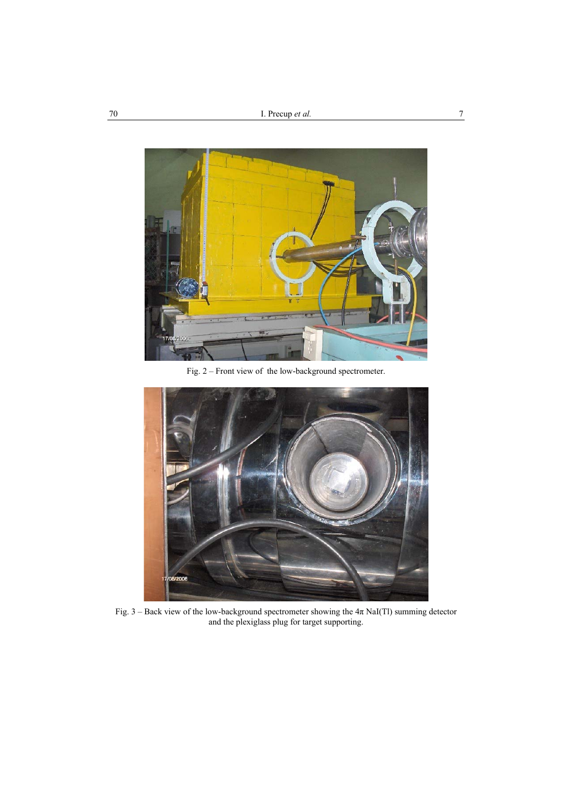

Fig. 2 – Front view of the low-background spectrometer.



Fig. 3 – Back view of the low-background spectrometer showing the  $4\pi$  NaI(Tl) summing detector and the plexiglass plug for target supporting.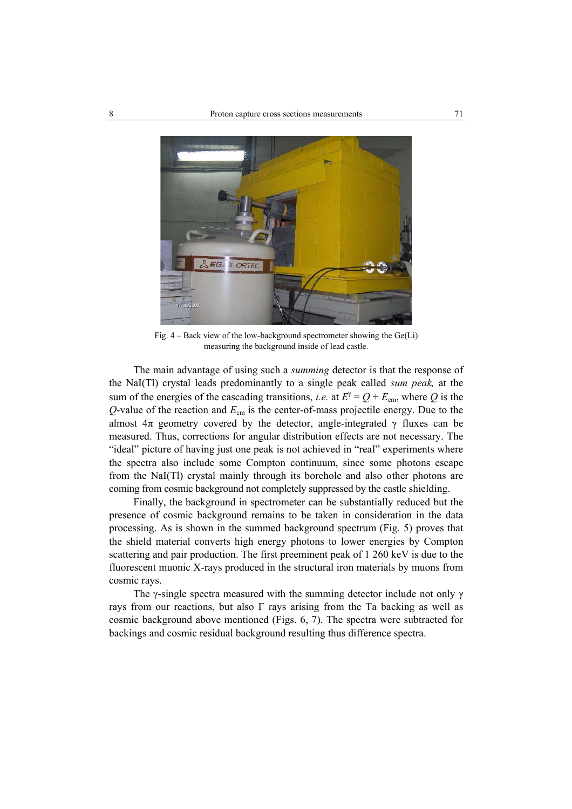

Fig. 4 – Back view of the low-background spectrometer showing the Ge(Li) measuring the background inside of lead castle.

The main advantage of using such a *summing* detector is that the response of the NaI(Tl) crystal leads predominantly to a single peak called *sum peak,* at the sum of the energies of the cascading transitions, *i.e.* at  $E^{\gamma} = Q + E_{cm}$ , where Q is the *Q*-value of the reaction and *E*cm is the center-of-mass projectile energy. Due to the almost  $4\pi$  geometry covered by the detector, angle-integrated  $\gamma$  fluxes can be measured. Thus, corrections for angular distribution effects are not necessary. The "ideal" picture of having just one peak is not achieved in "real" experiments where the spectra also include some Compton continuum, since some photons escape from the NaI(Tl) crystal mainly through its borehole and also other photons are coming from cosmic background not completely suppressed by the castle shielding.

Finally, the background in spectrometer can be substantially reduced but the presence of cosmic background remains to be taken in consideration in the data processing. As is shown in the summed background spectrum (Fig. 5) proves that the shield material converts high energy photons to lower energies by Compton scattering and pair production. The first preeminent peak of 1 260 keV is due to the fluorescent muonic X-rays produced in the structural iron materials by muons from cosmic rays.

The  $\gamma$ -single spectra measured with the summing detector include not only  $\gamma$ rays from our reactions, but also  $\Gamma$  rays arising from the Ta backing as well as cosmic background above mentioned (Figs. 6, 7). The spectra were subtracted for backings and cosmic residual background resulting thus difference spectra.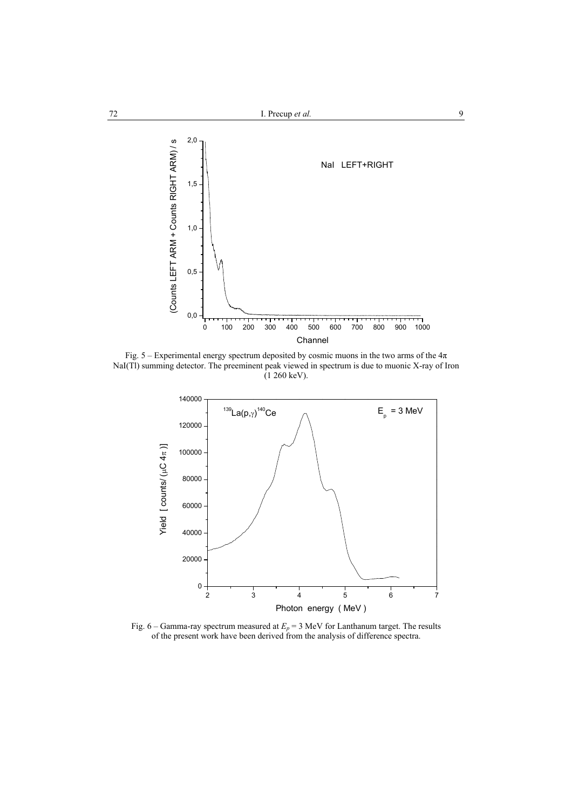

Fig. 5 – Experimental energy spectrum deposited by cosmic muons in the two arms of the  $4\pi$ NaI(TI) summing detector. The preeminent peak viewed in spectrum is due to muonic X-ray of Iron  $(1 260 \text{ keV})$ .



Fig. 6 – Gamma-ray spectrum measured at  $E_p$  = 3 MeV for Lanthanum target. The results of the present work have been derived from the analysis of difference spectra.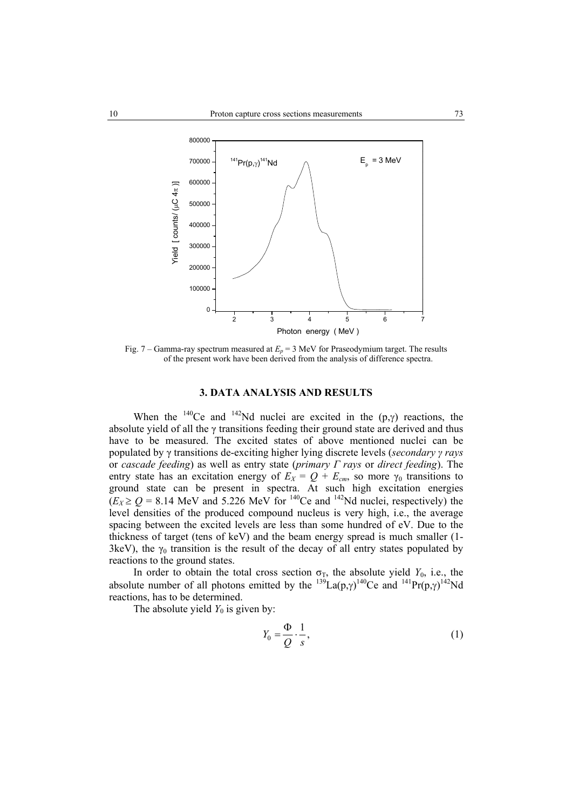

Fig. 7 – Gamma-ray spectrum measured at  $E_p = 3$  MeV for Praseodymium target. The results of the present work have been derived from the analysis of difference spectra.

#### **3. DATA ANALYSIS AND RESULTS**

When the <sup>140</sup>Ce and <sup>142</sup>Nd nuclei are excited in the  $(p, \gamma)$  reactions, the absolute yield of all the γ transitions feeding their ground state are derived and thus have to be measured. The excited states of above mentioned nuclei can be populated by γ transitions de-exciting higher lying discrete levels (*secondary γ rays* or *cascade feeding*) as well as entry state (*primary Γ rays* or *direct feeding*). The entry state has an excitation energy of  $E_X = Q + E_{cm}$ , so more  $\gamma_0$  transitions to ground state can be present in spectra. At such high excitation energies  $(E_X \ge Q = 8.14$  MeV and 5.226 MeV for <sup>140</sup>Ce and <sup>142</sup>Nd nuclei, respectively) the level densities of the produced compound nucleus is very high, i.e., the average spacing between the excited levels are less than some hundred of eV. Due to the thickness of target (tens of keV) and the beam energy spread is much smaller (1- 3keV), the  $\gamma_0$  transition is the result of the decay of all entry states populated by reactions to the ground states.

In order to obtain the total cross section  $\sigma_T$ , the absolute yield  $Y_0$ , i.e., the absolute number of all photons emitted by the  $^{139}La(p,\gamma)^{140}Ce$  and  $^{141}Pr(p,\gamma)^{142}Nd$ reactions, has to be determined.

The absolute yield  $Y_0$  is given by:

$$
Y_0 = \frac{\Phi}{Q} \cdot \frac{1}{s},\tag{1}
$$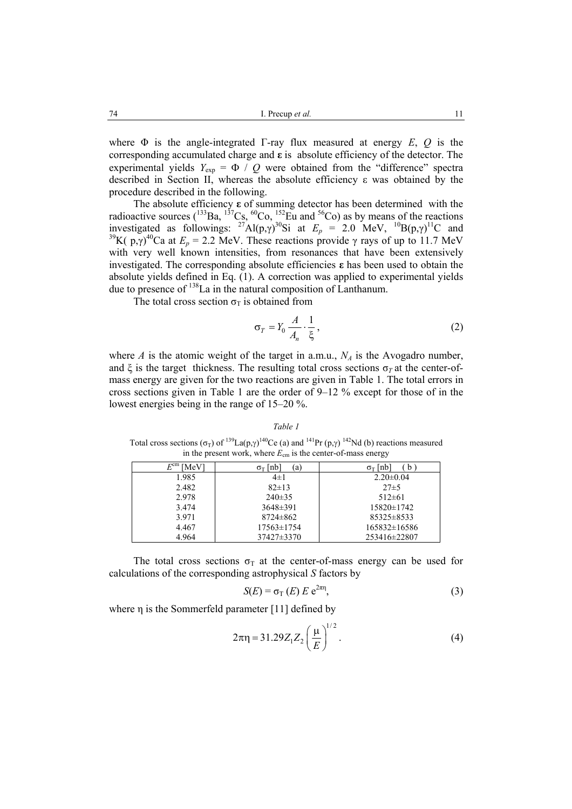where  $\Phi$  is the angle-integrated Γ-ray flux measured at energy *E*, *Q* is the corresponding accumulated charge and **ε** is absolute efficiency of the detector. The experimental yields  $Y_{\text{exp}} = \Phi / Q$  were obtained from the "difference" spectra described in Section II, whereas the absolute efficiency ε was obtained by the procedure described in the following.

The absolute efficiency **ε** of summing detector has been determined with the radioactive sources ( $^{133}$ Ba,  $^{137}$ Cs,  $^{60}$ Co,  $^{152}$ Eu and  $^{56}$ Co) as by means of the reactions investigated as followings: <sup>27</sup>Al(p, $\gamma$ )<sup>30</sup>Si at  $E_p = 2.0$  MeV, <sup>10</sup>B(p, $\gamma$ )<sup>11</sup>C and <sup>39</sup>K( p, $\gamma$ )<sup>40</sup>Ca at  $E_p = 2.2$  MeV. These reactions provide  $\gamma$  rays of up to 11.7 MeV with very well known intensities, from resonances that have been extensively investigated. The corresponding absolute efficiencies **ε** has been used to obtain the absolute yields defined in Eq. (1). A correction was applied to experimental yields due to presence of 138La in the natural composition of Lanthanum.

The total cross section  $\sigma_T$  is obtained from

$$
\sigma_T = Y_0 \frac{A}{A_n} \cdot \frac{1}{\xi},\tag{2}
$$

where *A* is the atomic weight of the target in a.m.u.,  $N_A$  is the Avogadro number, and  $\xi$  is the target thickness. The resulting total cross sections  $\sigma_T$  at the center-ofmass energy are given for the two reactions are given in Table 1. The total errors in cross sections given in Table 1 are the order of 9–12 % except for those of in the lowest energies being in the range of 15–20 %.

#### *Table 1*

Total cross sections ( $\sigma_T$ ) of <sup>139</sup>La(p, $\gamma$ )<sup>140</sup>Ce (a) and <sup>141</sup>Pr (p, $\gamma$ )<sup>142</sup>Nd (b) reactions measured in the present work, where  $E_{cm}$  is the center-of-mass energy

| $E^{\rm cm}$<br>MeV] | $\sigma$ <sub>T</sub> [nb]<br>(a) | $\sigma$ <sub>T</sub> [nb]<br><sub>n</sub> |
|----------------------|-----------------------------------|--------------------------------------------|
| 1.985                | $4\pm1$                           | $2.20 \pm 0.04$                            |
| 2.482                | $82 \pm 13$                       | $27\pm5$                                   |
| 2.978                | $240\pm35$                        | $512\pm 61$                                |
| 3.474                | $3648\pm391$                      | $15820 \pm 1742$                           |
| 3.971                | $8724 \pm 862$                    | $85325 \pm 8533$                           |
| 4.467                | $17563 \pm 1754$                  | 165832±16586                               |
| 4.964                | $37427 \pm 3370$                  | 253416±22807                               |

The total cross sections  $\sigma_T$  at the center-of-mass energy can be used for calculations of the corresponding astrophysical *S* factors by

$$
S(E) = \sigma_{\text{T}}(E) E e^{2\pi \eta}, \tag{3}
$$

where η is the Sommerfeld parameter [11] defined by

$$
2\pi \eta = 31.29 Z_1 Z_2 \left(\frac{\mu}{E}\right)^{1/2}.
$$
 (4)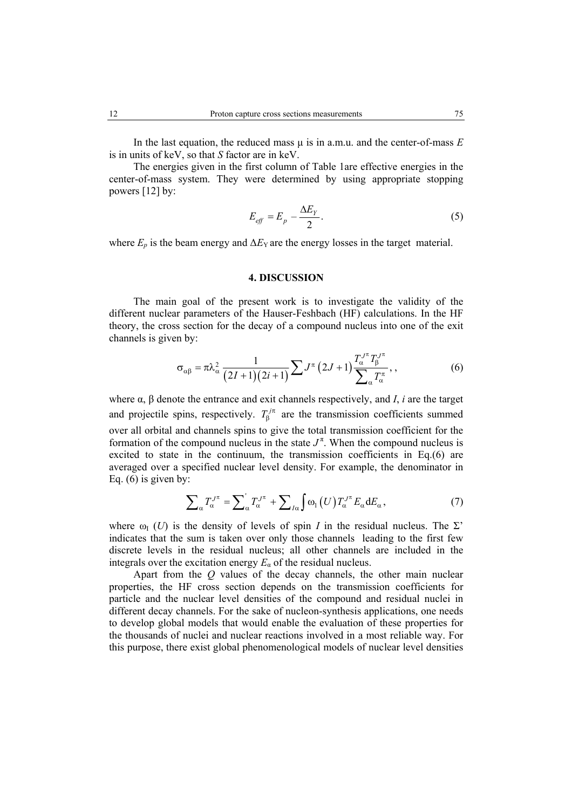In the last equation, the reduced mass  $\mu$  is in a.m.u. and the center-of-mass *E* is in units of keV, so that *S* factor are in keV.

The energies given in the first column of Table 1are effective energies in the center-of-mass system. They were determined by using appropriate stopping powers [12] by:

$$
E_{\text{eff}} = E_p - \frac{\Delta E_Y}{2}.\tag{5}
$$

where  $E_p$  is the beam energy and  $\Delta E_Y$  are the energy losses in the target material.

### **4. DISCUSSION**

The main goal of the present work is to investigate the validity of the different nuclear parameters of the Hauser-Feshbach (HF) calculations. In the HF theory, the cross section for the decay of a compound nucleus into one of the exit channels is given by:

$$
\sigma_{\alpha\beta} = \pi \lambda_{\alpha}^2 \frac{1}{(2I+1)(2i+1)} \sum J^{\pi} (2J+1) \frac{T_{\alpha}^{J^{\pi}} T_{\beta}^{J^{\pi}}}{\sum_{\alpha} T_{\alpha}^{\pi}}, \qquad (6)
$$

where α, β denote the entrance and exit channels respectively, and *I*, *i* are the target and projectile spins, respectively.  $T_{\beta}^{j\pi}$  are the transmission coefficients summed over all orbital and channels spins to give the total transmission coefficient for the formation of the compound nucleus in the state  $J^{\pi}$ . When the compound nucleus is excited to state in the continuum, the transmission coefficients in Eq.(6) are averaged over a specified nuclear level density. For example, the denominator in Eq.  $(6)$  is given by:

$$
\sum_{\alpha} T_{\alpha}^{J^{\pi}} = \sum_{\alpha} T_{\alpha}^{J^{\pi}} + \sum_{I\alpha} \int \omega_1(U) T_{\alpha}^{J^{\pi}} E_{\alpha} dE_{\alpha}, \qquad (7)
$$

where  $\omega_{I}(U)$  is the density of levels of spin *I* in the residual nucleus. The  $\Sigma$ ' indicates that the sum is taken over only those channels leading to the first few discrete levels in the residual nucleus; all other channels are included in the integrals over the excitation energy  $E_a$  of the residual nucleus.

Apart from the *Q* values of the decay channels, the other main nuclear properties, the HF cross section depends on the transmission coefficients for particle and the nuclear level densities of the compound and residual nuclei in different decay channels. For the sake of nucleon-synthesis applications, one needs to develop global models that would enable the evaluation of these properties for the thousands of nuclei and nuclear reactions involved in a most reliable way. For this purpose, there exist global phenomenological models of nuclear level densities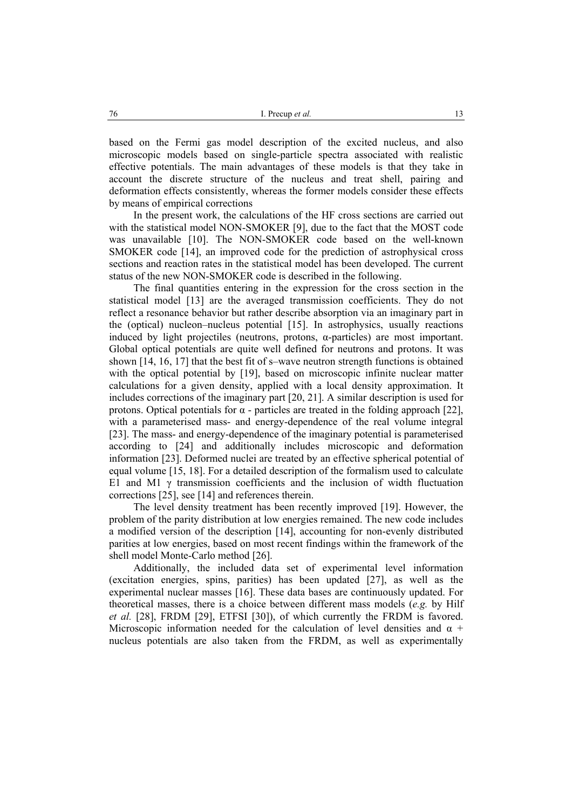based on the Fermi gas model description of the excited nucleus, and also microscopic models based on single-particle spectra associated with realistic effective potentials. The main advantages of these models is that they take in account the discrete structure of the nucleus and treat shell, pairing and deformation effects consistently, whereas the former models consider these effects by means of empirical corrections

In the present work, the calculations of the HF cross sections are carried out with the statistical model NON-SMOKER [9], due to the fact that the MOST code was unavailable [10]. The NON-SMOKER code based on the well-known SMOKER code [14], an improved code for the prediction of astrophysical cross sections and reaction rates in the statistical model has been developed. The current status of the new NON-SMOKER code is described in the following.

The final quantities entering in the expression for the cross section in the statistical model [13] are the averaged transmission coefficients. They do not reflect a resonance behavior but rather describe absorption via an imaginary part in the (optical) nucleon–nucleus potential [15]. In astrophysics, usually reactions induced by light projectiles (neutrons, protons,  $\alpha$ -particles) are most important. Global optical potentials are quite well defined for neutrons and protons. It was shown [14, 16, 17] that the best fit of s–wave neutron strength functions is obtained with the optical potential by [19], based on microscopic infinite nuclear matter calculations for a given density, applied with a local density approximation. It includes corrections of the imaginary part [20, 21]. A similar description is used for protons. Optical potentials for α - particles are treated in the folding approach [22], with a parameterised mass- and energy-dependence of the real volume integral [23]. The mass- and energy-dependence of the imaginary potential is parameterised according to [24] and additionally includes microscopic and deformation information [23]. Deformed nuclei are treated by an effective spherical potential of equal volume [15, 18]. For a detailed description of the formalism used to calculate E1 and M1  $\gamma$  transmission coefficients and the inclusion of width fluctuation corrections [25], see [14] and references therein.

The level density treatment has been recently improved [19]. However, the problem of the parity distribution at low energies remained. The new code includes a modified version of the description [14], accounting for non-evenly distributed parities at low energies, based on most recent findings within the framework of the shell model Monte-Carlo method [26].

Additionally, the included data set of experimental level information (excitation energies, spins, parities) has been updated [27], as well as the experimental nuclear masses [16]. These data bases are continuously updated. For theoretical masses, there is a choice between different mass models (*e.g.* by Hilf *et al.* [28], FRDM [29], ETFSI [30]), of which currently the FRDM is favored. Microscopic information needed for the calculation of level densities and  $\alpha$  + nucleus potentials are also taken from the FRDM, as well as experimentally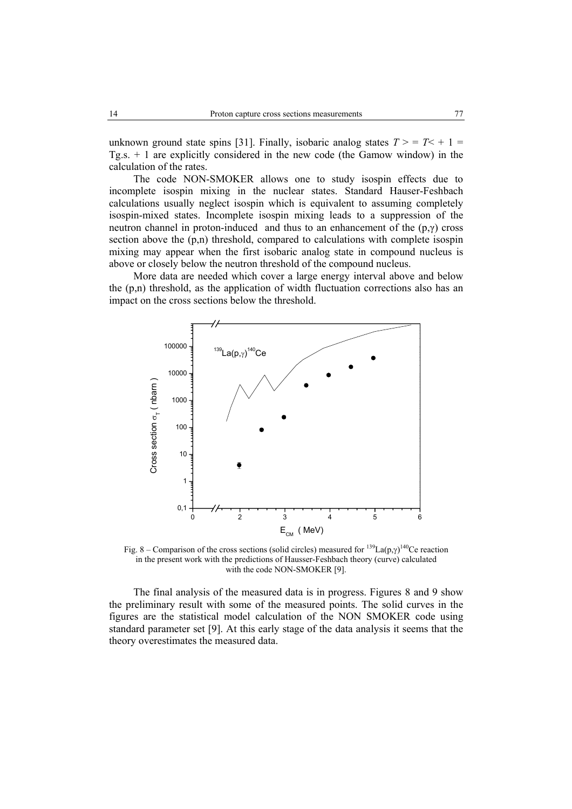unknown ground state spins [31]. Finally, isobaric analog states  $T > T < +1$ Tg.s. + 1 are explicitly considered in the new code (the Gamow window) in the calculation of the rates.

The code NON-SMOKER allows one to study isospin effects due to incomplete isospin mixing in the nuclear states. Standard Hauser-Feshbach calculations usually neglect isospin which is equivalent to assuming completely isospin-mixed states. Incomplete isospin mixing leads to a suppression of the neutron channel in proton-induced and thus to an enhancement of the  $(p, \gamma)$  cross section above the  $(p,n)$  threshold, compared to calculations with complete isospin mixing may appear when the first isobaric analog state in compound nucleus is above or closely below the neutron threshold of the compound nucleus.

More data are needed which cover a large energy interval above and below the  $(p,n)$  threshold, as the application of width fluctuation corrections also has an impact on the cross sections below the threshold.



Fig. 8 – Comparison of the cross sections (solid circles) measured for  $^{139}$ La(p, $\gamma$ )<sup>140</sup>Ce reaction in the present work with the predictions of Hausser-Feshbach theory (curve) calculated with the code NON-SMOKER [9].

The final analysis of the measured data is in progress. Figures 8 and 9 show the preliminary result with some of the measured points. The solid curves in the figures are the statistical model calculation of the NON SMOKER code using standard parameter set [9]. At this early stage of the data analysis it seems that the theory overestimates the measured data.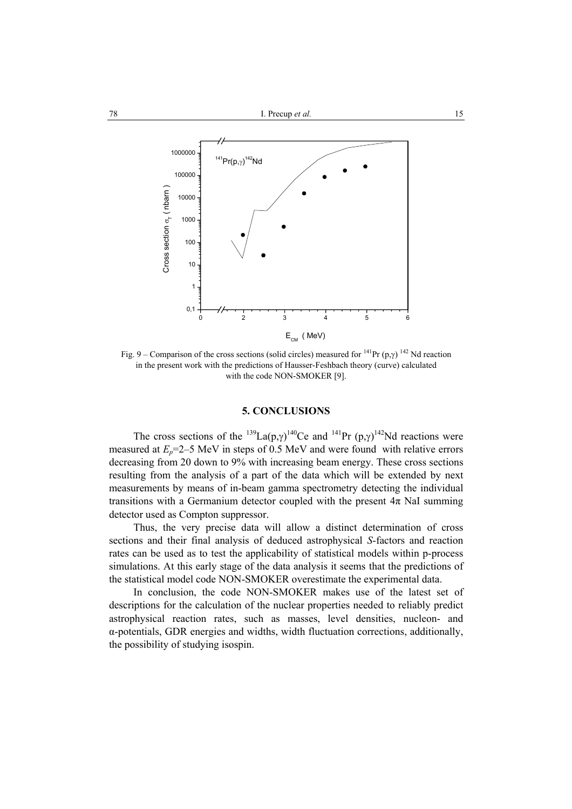

Fig. 9 – Comparison of the cross sections (solid circles) measured for  $^{141}$ Pr (p, $\gamma$ )  $^{142}$  Nd reaction in the present work with the predictions of Hausser-Feshbach theory (curve) calculated with the code NON-SMOKER [9].

# **5. CONCLUSIONS**

The cross sections of the <sup>139</sup>La(p, $\gamma$ )<sup>140</sup>Ce and <sup>141</sup>Pr (p, $\gamma$ )<sup>142</sup>Nd reactions were measured at  $E<sub>n</sub>=2-5$  MeV in steps of 0.5 MeV and were found with relative errors decreasing from 20 down to 9% with increasing beam energy. These cross sections resulting from the analysis of a part of the data which will be extended by next measurements by means of in-beam gamma spectrometry detecting the individual transitions with a Germanium detector coupled with the present  $4\pi$  NaI summing detector used as Compton suppressor.

Thus, the very precise data will allow a distinct determination of cross sections and their final analysis of deduced astrophysical *S*-factors and reaction rates can be used as to test the applicability of statistical models within p-process simulations. At this early stage of the data analysis it seems that the predictions of the statistical model code NON-SMOKER overestimate the experimental data.

In conclusion, the code NON-SMOKER makes use of the latest set of descriptions for the calculation of the nuclear properties needed to reliably predict astrophysical reaction rates, such as masses, level densities, nucleon- and α-potentials, GDR energies and widths, width fluctuation corrections, additionally, the possibility of studying isospin.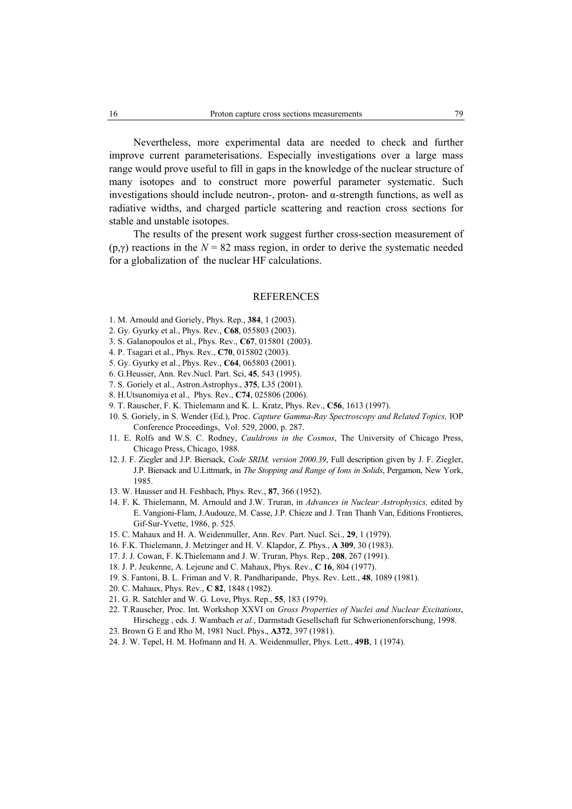Nevertheless, more experimental data are needed to check and further

improve current parameterisations. Especially investigations over a large mass range would prove useful to fill in gaps in the knowledge of the nuclear structure of many isotopes and to construct more powerful parameter systematic. Such investigations should include neutron-, proton- and α-strength functions, as well as radiative widths, and charged particle scattering and reaction cross sections for stable and unstable isotopes.

The results of the present work suggest further cross-section measurement of  $(p, \gamma)$  reactions in the  $N = 82$  mass region, in order to derive the systematic needed for a globalization of the nuclear HF calculations.

#### REFERENCES

- 1. M. Arnould and Goriely, Phys. Rep., **384**, 1 (2003).
- 2. Gy. Gyurky et al., Phys. Rev., **C68**, 055803 (2003).
- 3. S. Galanopoulos et al., Phys. Rev., **C67**, 015801 (2003).
- 4. P. Tsagari et al., Phys. Rev., **C70**, 015802 (2003).
- 5. Gy. Gyurky et al., Phys. Rev., **C64**, 065803 (2001).
- 6. G.Heusser, Ann. Rev.Nucl. Part. Sci, **45**, 543 (1995).
- 7. S. Goriely et al., Astron.Astrophys., **375**, L35 (2001).
- 8. H.Utsunomiya et al., Phys. Rev., **C74**, 025806 (2006).
- 9. T. Rauscher, F. K. Thielemann and K. L. Kratz, Phys. Rev., **C56**, 1613 (1997).
- 10. S. Goriely, in S. Wender (Ed.), Proc. *Capture Gamma-Ray Spectroscopy and Related Topics,* IOP Conference Proceedings, Vol. 529, 2000, p. 287.
- 11. E. Rolfs and W.S. C. Rodney, *Cauldrons in the Cosmos*, The University of Chicago Press, Chicago Press, Chicago, 1988.
- 12. J. F. Ziegler and J.P. Biersack, *Code SRIM, version 2000.39*, Full description given by J. F. Ziegler, J.P. Biersack and U.Littmark, in *The Stopping and Range of Ions in Solids*, Pergamon, New York, 1985.
- 13. W. Hausser and H. Feshbach, Phys. Rev., **87**, 366 (1952).
- 14. F. K. Thielemann, M. Arnould and J.W. Truran, in *Advances in Nuclear Astrophysics,* edited by E. Vangioni-Flam, J.Audouze, M. Casse, J.P. Chieze and J. Tran Thanh Van, Editions Frontieres, Gif-Sur-Yvette, 1986, p. 525.
- 15. C. Mahaux and H. A. Weidenmuller, Ann. Rev. Part. Nucl. Sci., **29**, 1 (1979).
- 16. F.K. Thielemann, J. Metzinger and H. V. Klapdor, Z. Phys., **A 309**, 30 (1983).
- 17. J. J. Cowan, F. K.Thielemann and J. W. Truran, Phys. Rep., **208**, 267 (1991).
- 18. J. P. Jeukenne, A. Lejeune and C. Mahaux, Phys. Rev., **C 16**, 804 (1977).
- 19. S. Fantoni, B. L. Friman and V. R. Pandharipande, Phys. Rev. Lett., **48**, 1089 (1981).
- 20. C. Mahaux, Phys. Rev., **C 82**, 1848 (1982).
- 21. G. R. Satchler and W. G. Love, Phys. Rep., **55**, 183 (1979).
- 22. T.Rauscher, Proc. Int. Workshop XXVI on *Gross Properties of Nuclei and Nuclear Excitations*, Hirschegg , eds. J. Wambach *et al.*, Darmstadt Gesellschaft fur Schwerionenforschung, 1998.
- 23. Brown G E and Rho M, 1981 Nucl. Phys., **A372**, 397 (1981).
- 24. J. W. Tepel, H. M. Hofmann and H. A. Weidenmuller, Phys. Lett., **49B**, 1 (1974).